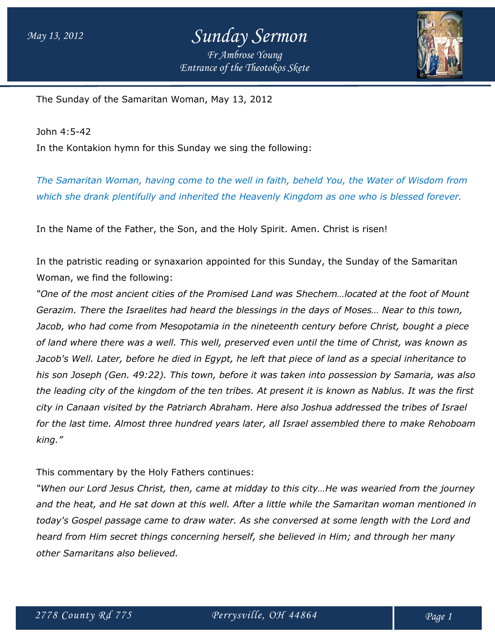### *May 13, 2012 Sunday Sermon Fr Ambrose Young Entrance of the Theotokos Skete*



The Sunday of the Samaritan Woman, May 13, 2012

John 4:5-42 In the Kontakion hymn for this Sunday we sing the following:

*The Samaritan Woman, having come to the well in faith, beheld You, the Water of Wisdom from which she drank plentifully and inherited the Heavenly Kingdom as one who is blessed forever.*

In the Name of the Father, the Son, and the Holy Spirit. Amen. Christ is risen!

In the patristic reading or synaxarion appointed for this Sunday, the Sunday of the Samaritan Woman, we find the following:

*"One of the most ancient cities of the Promised Land was Shechem…located at the foot of Mount Gerazim. There the Israelites had heard the blessings in the days of Moses… Near to this town, Jacob, who had come from Mesopotamia in the nineteenth century before Christ, bought a piece of land where there was a well. This well, preserved even until the time of Christ, was known as Jacob's Well. Later, before he died in Egypt, he left that piece of land as a special inheritance to his son Joseph (Gen. 49:22). This town, before it was taken into possession by Samaria, was also the leading city of the kingdom of the ten tribes. At present it is known as Nablus. It was the first city in Canaan visited by the Patriarch Abraham. Here also Joshua addressed the tribes of Israel for the last time. Almost three hundred years later, all Israel assembled there to make Rehoboam king."*

This commentary by the Holy Fathers continues:

*"When our Lord Jesus Christ, then, came at midday to this city…He was wearied from the journey and the heat, and He sat down at this well. After a little while the Samaritan woman mentioned in today's Gospel passage came to draw water. As she conversed at some length with the Lord and heard from Him secret things concerning herself, she believed in Him; and through her many other Samaritans also believed.*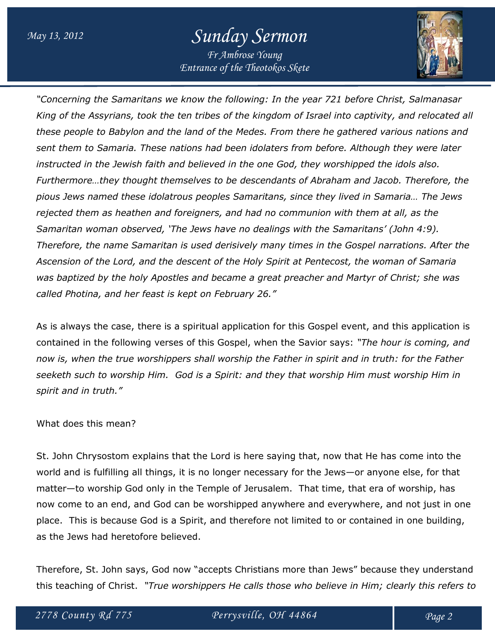# *May 13, 2012 Sunday Sermon Fr Ambrose Young*

*Entrance of the Theotokos Skete*

*"Concerning the Samaritans we know the following: In the year 721 before Christ, Salmanasar King of the Assyrians, took the ten tribes of the kingdom of Israel into captivity, and relocated all these people to Babylon and the land of the Medes. From there he gathered various nations and sent them to Samaria. These nations had been idolaters from before. Although they were later instructed in the Jewish faith and believed in the one God, they worshipped the idols also. Furthermore…they thought themselves to be descendants of Abraham and Jacob. Therefore, the pious Jews named these idolatrous peoples Samaritans, since they lived in Samaria… The Jews rejected them as heathen and foreigners, and had no communion with them at all, as the Samaritan woman observed, 'The Jews have no dealings with the Samaritans' (John 4:9). Therefore, the name Samaritan is used derisively many times in the Gospel narrations. After the Ascension of the Lord, and the descent of the Holy Spirit at Pentecost, the woman of Samaria was baptized by the holy Apostles and became a great preacher and Martyr of Christ; she was called Photina, and her feast is kept on February 26."*

As is always the case, there is a spiritual application for this Gospel event, and this application is contained in the following verses of this Gospel, when the Savior says: *"The hour is coming, and now is, when the true worshippers shall worship the Father in spirit and in truth: for the Father seeketh such to worship Him. God is a Spirit: and they that worship Him must worship Him in spirit and in truth."*

#### What does this mean?

St. John Chrysostom explains that the Lord is here saying that, now that He has come into the world and is fulfilling all things, it is no longer necessary for the Jews—or anyone else, for that matter—to worship God only in the Temple of Jerusalem. That time, that era of worship, has now come to an end, and God can be worshipped anywhere and everywhere, and not just in one place. This is because God is a Spirit, and therefore not limited to or contained in one building, as the Jews had heretofore believed.

Therefore, St. John says, God now "accepts Christians more than Jews" because they understand this teaching of Christ. *"True worshippers He calls those who believe in Him; clearly this refers to*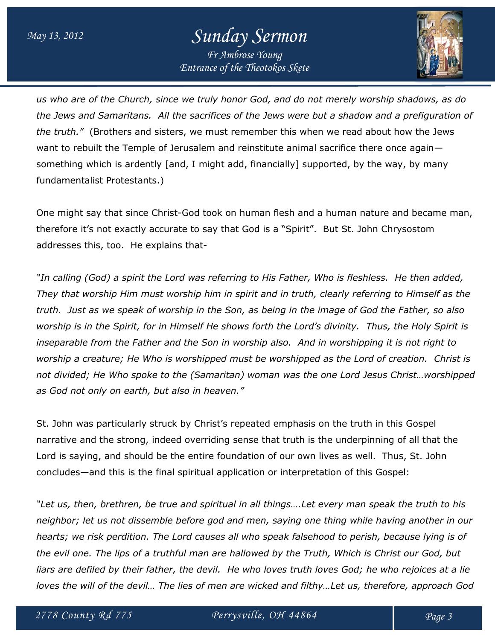# *May 13, 2012 Sunday Sermon Fr Ambrose Young*

*Entrance of the Theotokos Skete*

*us who are of the Church, since we truly honor God, and do not merely worship shadows, as do the Jews and Samaritans. All the sacrifices of the Jews were but a shadow and a prefiguration of the truth."* (Brothers and sisters, we must remember this when we read about how the Jews want to rebuilt the Temple of Jerusalem and reinstitute animal sacrifice there once again something which is ardently [and, I might add, financially] supported, by the way, by many fundamentalist Protestants.)

One might say that since Christ-God took on human flesh and a human nature and became man, therefore it's not exactly accurate to say that God is a "Spirit". But St. John Chrysostom addresses this, too. He explains that-

*"In calling (God) a spirit the Lord was referring to His Father, Who is fleshless. He then added, They that worship Him must worship him in spirit and in truth, clearly referring to Himself as the truth. Just as we speak of worship in the Son, as being in the image of God the Father, so also worship is in the Spirit, for in Himself He shows forth the Lord's divinity. Thus, the Holy Spirit is inseparable from the Father and the Son in worship also. And in worshipping it is not right to worship a creature; He Who is worshipped must be worshipped as the Lord of creation. Christ is not divided; He Who spoke to the (Samaritan) woman was the one Lord Jesus Christ…worshipped as God not only on earth, but also in heaven."*

St. John was particularly struck by Christ's repeated emphasis on the truth in this Gospel narrative and the strong, indeed overriding sense that truth is the underpinning of all that the Lord is saying, and should be the entire foundation of our own lives as well. Thus, St. John concludes—and this is the final spiritual application or interpretation of this Gospel:

*"Let us, then, brethren, be true and spiritual in all things….Let every man speak the truth to his neighbor; let us not dissemble before god and men, saying one thing while having another in our hearts; we risk perdition. The Lord causes all who speak falsehood to perish, because lying is of the evil one. The lips of a truthful man are hallowed by the Truth, Which is Christ our God, but liars are defiled by their father, the devil. He who loves truth loves God; he who rejoices at a lie loves the will of the devil… The lies of men are wicked and filthy…Let us, therefore, approach God*